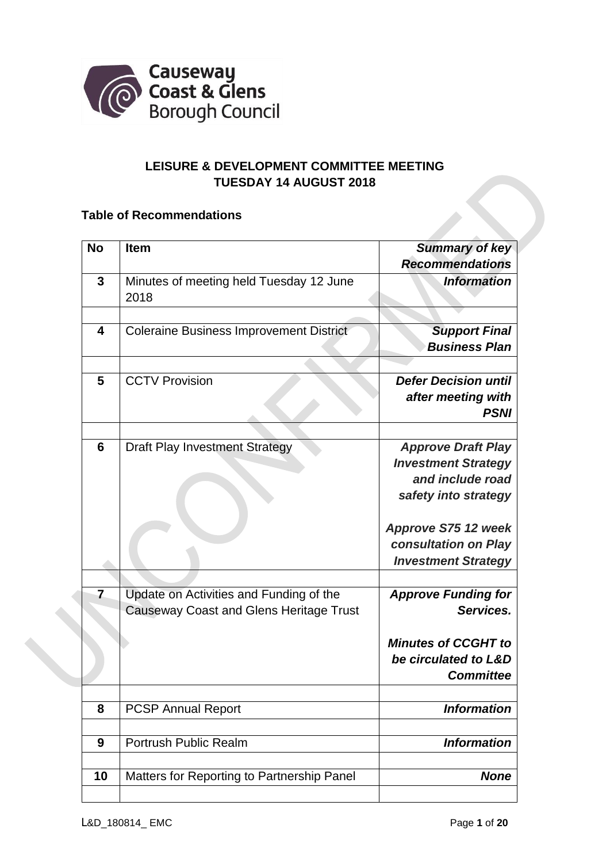

## **LEISURE & DEVELOPMENT COMMITTEE MEETING TUESDAY 14 AUGUST 2018**

## **Table of Recommendations**

| <b>No</b>               | <b>Item</b>                                    | <b>Summary of key</b><br><b>Recommendations</b> |
|-------------------------|------------------------------------------------|-------------------------------------------------|
| 3                       | Minutes of meeting held Tuesday 12 June        | <b>Information</b>                              |
|                         | 2018                                           |                                                 |
|                         |                                                |                                                 |
| $\overline{\mathbf{4}}$ | <b>Coleraine Business Improvement District</b> | <b>Support Final</b>                            |
|                         |                                                | <b>Business Plan</b>                            |
| 5                       | <b>CCTV Provision</b>                          | <b>Defer Decision until</b>                     |
|                         |                                                | after meeting with                              |
|                         |                                                | <b>PSNI</b>                                     |
|                         |                                                |                                                 |
| 6                       | <b>Draft Play Investment Strategy</b>          | <b>Approve Draft Play</b>                       |
|                         |                                                | <b>Investment Strategy</b>                      |
|                         |                                                | and include road                                |
|                         |                                                | safety into strategy                            |
|                         |                                                | Approve S75 12 week                             |
|                         |                                                | consultation on Play                            |
|                         |                                                | <b>Investment Strategy</b>                      |
|                         |                                                |                                                 |
| $\overline{7}$          | Update on Activities and Funding of the        | <b>Approve Funding for</b>                      |
|                         | <b>Causeway Coast and Glens Heritage Trust</b> | Services.                                       |
|                         |                                                | <b>Minutes of CCGHT to</b>                      |
|                         |                                                | be circulated to L&D                            |
|                         |                                                | <b>Committee</b>                                |
|                         |                                                |                                                 |
| 8                       | <b>PCSP Annual Report</b>                      | <b>Information</b>                              |
| 9                       | Portrush Public Realm                          | <b>Information</b>                              |
|                         |                                                |                                                 |
| 10                      | Matters for Reporting to Partnership Panel     | <b>None</b>                                     |
|                         |                                                |                                                 |

S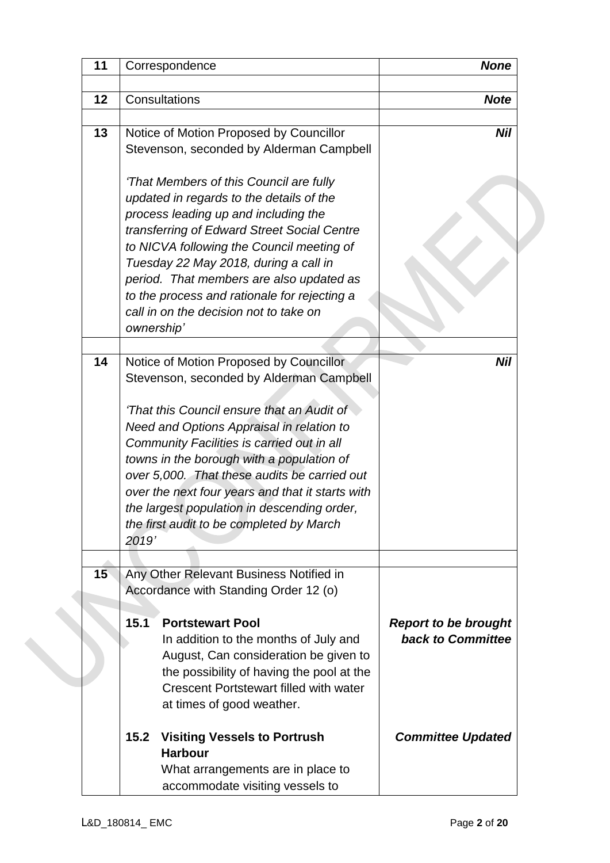| 11 | Correspondence                                                             | <b>None</b>                 |
|----|----------------------------------------------------------------------------|-----------------------------|
| 12 | Consultations                                                              | <b>Note</b>                 |
| 13 | Notice of Motion Proposed by Councillor                                    | <b>Nil</b>                  |
|    | Stevenson, seconded by Alderman Campbell                                   |                             |
|    | 'That Members of this Council are fully                                    |                             |
|    | updated in regards to the details of the                                   |                             |
|    | process leading up and including the                                       |                             |
|    | transferring of Edward Street Social Centre                                |                             |
|    | to NICVA following the Council meeting of                                  |                             |
|    | Tuesday 22 May 2018, during a call in                                      |                             |
|    | period. That members are also updated as                                   |                             |
|    | to the process and rationale for rejecting a                               |                             |
|    | call in on the decision not to take on<br>ownership'                       |                             |
| 14 | Notice of Motion Proposed by Councillor                                    | Nil                         |
|    | Stevenson, seconded by Alderman Campbell                                   |                             |
|    | 'That this Council ensure that an Audit of                                 |                             |
|    | Need and Options Appraisal in relation to                                  |                             |
|    | Community Facilities is carried out in all                                 |                             |
|    | towns in the borough with a population of                                  |                             |
|    | over 5,000. That these audits be carried out                               |                             |
|    | over the next four years and that it starts with                           |                             |
|    | the largest population in descending order,                                |                             |
|    | the first audit to be completed by March                                   |                             |
|    | 2019'                                                                      |                             |
|    |                                                                            |                             |
| 15 | Any Other Relevant Business Notified in                                    |                             |
|    | Accordance with Standing Order 12 (o)                                      |                             |
|    | 15.1<br><b>Portstewart Pool</b>                                            | <b>Report to be brought</b> |
|    | In addition to the months of July and                                      | <b>back to Committee</b>    |
|    | August, Can consideration be given to                                      |                             |
|    | the possibility of having the pool at the                                  |                             |
|    | <b>Crescent Portstewart filled with water</b><br>at times of good weather. |                             |
|    | 15.2<br><b>Visiting Vessels to Portrush</b><br><b>Harbour</b>              | <b>Committee Updated</b>    |
|    | What arrangements are in place to                                          |                             |
|    | accommodate visiting vessels to                                            |                             |
|    |                                                                            |                             |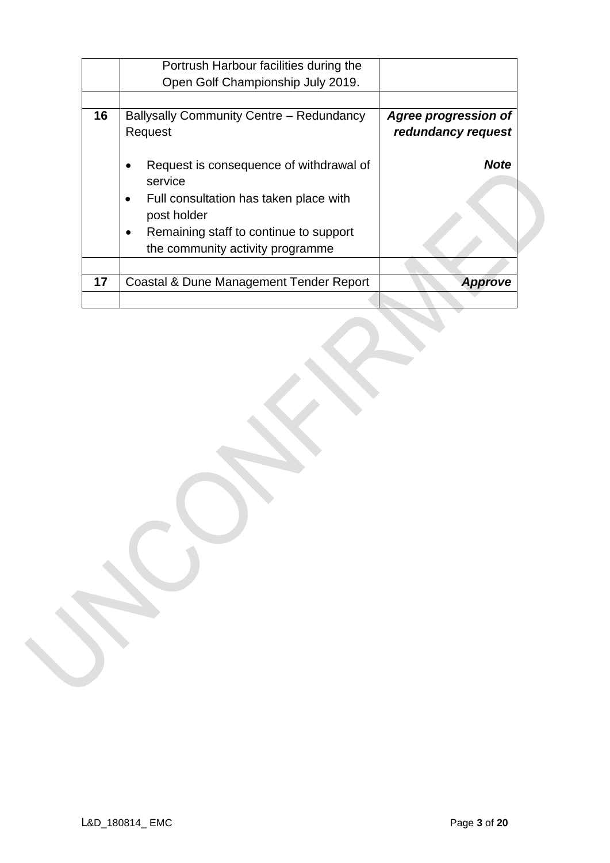|    | Portrush Harbour facilities during the                                                  |                                                   |
|----|-----------------------------------------------------------------------------------------|---------------------------------------------------|
|    | Open Golf Championship July 2019.                                                       |                                                   |
|    |                                                                                         |                                                   |
| 16 | <b>Ballysally Community Centre - Redundancy</b><br>Request                              | <b>Agree progression of</b><br>redundancy request |
|    | Request is consequence of withdrawal of<br>service                                      | <b>Note</b>                                       |
|    | Full consultation has taken place with<br>post holder                                   |                                                   |
|    | Remaining staff to continue to support<br>$\bullet$<br>the community activity programme |                                                   |
|    |                                                                                         |                                                   |
| 17 | Coastal & Dune Management Tender Report                                                 | <b>Approve</b>                                    |
|    |                                                                                         |                                                   |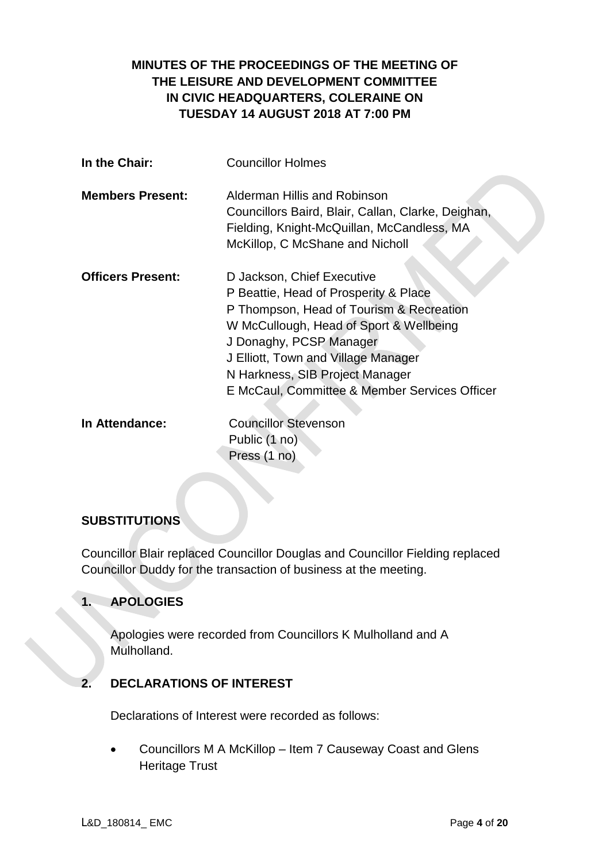# **MINUTES OF THE PROCEEDINGS OF THE MEETING OF THE LEISURE AND DEVELOPMENT COMMITTEE IN CIVIC HEADQUARTERS, COLERAINE ON TUESDAY 14 AUGUST 2018 AT 7:00 PM**

| In the Chair:            | <b>Councillor Holmes</b>                                                                                                                                                                                                                                                                                         |
|--------------------------|------------------------------------------------------------------------------------------------------------------------------------------------------------------------------------------------------------------------------------------------------------------------------------------------------------------|
| <b>Members Present:</b>  | Alderman Hillis and Robinson<br>Councillors Baird, Blair, Callan, Clarke, Deighan,<br>Fielding, Knight-McQuillan, McCandless, MA<br>McKillop, C McShane and Nicholl                                                                                                                                              |
| <b>Officers Present:</b> | D Jackson, Chief Executive<br>P Beattie, Head of Prosperity & Place<br>P Thompson, Head of Tourism & Recreation<br>W McCullough, Head of Sport & Wellbeing<br>J Donaghy, PCSP Manager<br>J Elliott, Town and Village Manager<br>N Harkness, SIB Project Manager<br>E McCaul, Committee & Member Services Officer |
| In Attendance:           | <b>Councillor Stevenson</b><br>Public (1 no)<br>Press (1 no)                                                                                                                                                                                                                                                     |

## **SUBSTITUTIONS**

Councillor Blair replaced Councillor Douglas and Councillor Fielding replaced Councillor Duddy for the transaction of business at the meeting.

## **1. APOLOGIES**

Apologies were recorded from Councillors K Mulholland and A Mulholland.

#### **2. DECLARATIONS OF INTEREST**

Declarations of Interest were recorded as follows:

 Councillors M A McKillop – Item 7 Causeway Coast and Glens Heritage Trust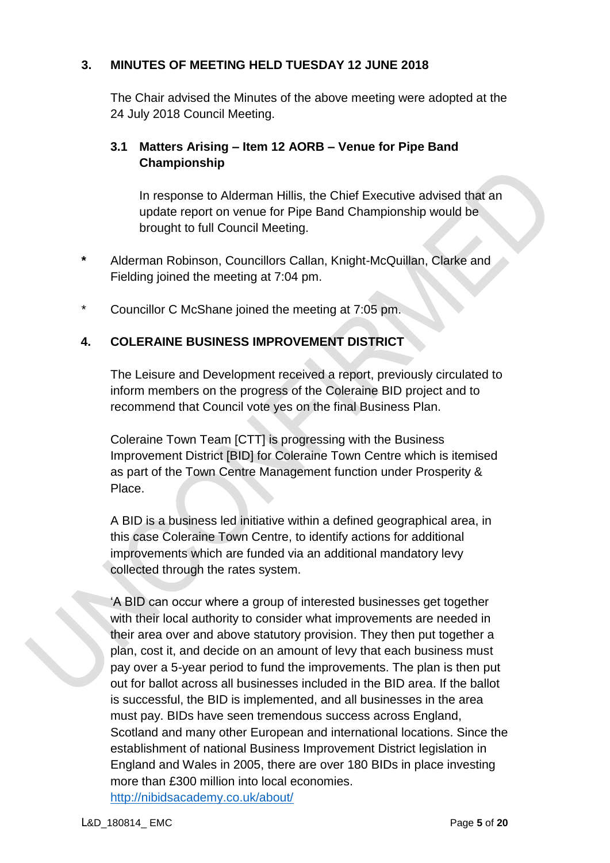## **3. MINUTES OF MEETING HELD TUESDAY 12 JUNE 2018**

The Chair advised the Minutes of the above meeting were adopted at the 24 July 2018 Council Meeting.

# **3.1 Matters Arising – Item 12 AORB – Venue for Pipe Band Championship**

In response to Alderman Hillis, the Chief Executive advised that an update report on venue for Pipe Band Championship would be brought to full Council Meeting.

- **\*** Alderman Robinson, Councillors Callan, Knight-McQuillan, Clarke and Fielding joined the meeting at 7:04 pm.
- \* Councillor C McShane joined the meeting at 7:05 pm.

# **4. COLERAINE BUSINESS IMPROVEMENT DISTRICT**

The Leisure and Development received a report, previously circulated to inform members on the progress of the Coleraine BID project and to recommend that Council vote yes on the final Business Plan.

Coleraine Town Team [CTT] is progressing with the Business Improvement District [BID] for Coleraine Town Centre which is itemised as part of the Town Centre Management function under Prosperity & Place.

A BID is a business led initiative within a defined geographical area, in this case Coleraine Town Centre, to identify actions for additional improvements which are funded via an additional mandatory levy collected through the rates system.

'A BID can occur where a group of interested businesses get together with their local authority to consider what improvements are needed in their area over and above statutory provision. They then put together a plan, cost it, and decide on an amount of levy that each business must pay over a 5-year period to fund the improvements. The plan is then put out for ballot across all businesses included in the BID area. If the ballot is successful, the BID is implemented, and all businesses in the area must pay. BIDs have seen tremendous success across England, Scotland and many other European and international locations. Since the establishment of national Business Improvement District legislation in England and Wales in 2005, there are over 180 BIDs in place investing more than £300 million into local economies. <http://nibidsacademy.co.uk/about/>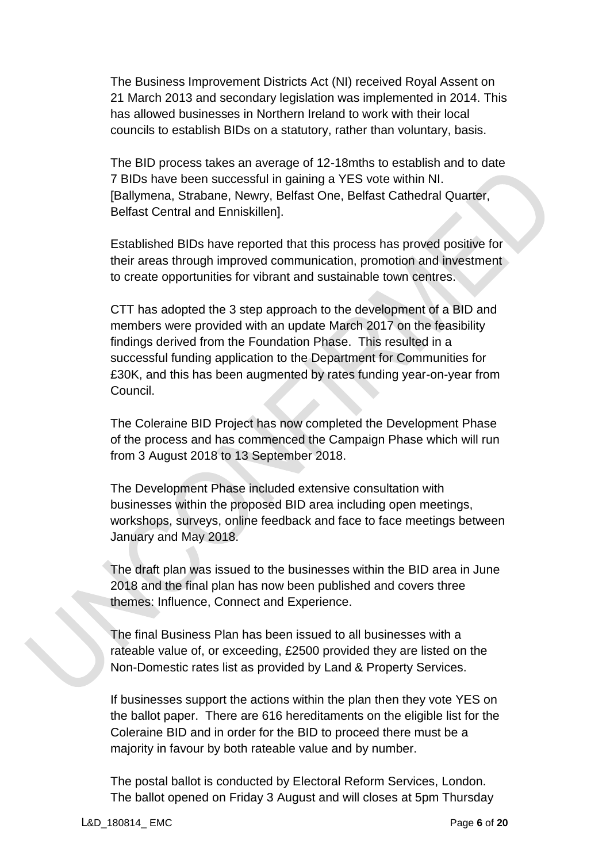The Business Improvement Districts Act (NI) received Royal Assent on 21 March 2013 and secondary legislation was implemented in 2014. This has allowed businesses in Northern Ireland to work with their local councils to establish BIDs on a statutory, rather than voluntary, basis.

The BID process takes an average of 12-18mths to establish and to date 7 BIDs have been successful in gaining a YES vote within NI. [Ballymena, Strabane, Newry, Belfast One, Belfast Cathedral Quarter, Belfast Central and Enniskillen].

Established BIDs have reported that this process has proved positive for their areas through improved communication, promotion and investment to create opportunities for vibrant and sustainable town centres.

CTT has adopted the 3 step approach to the development of a BID and members were provided with an update March 2017 on the feasibility findings derived from the Foundation Phase. This resulted in a successful funding application to the Department for Communities for £30K, and this has been augmented by rates funding year-on-year from Council.

The Coleraine BID Project has now completed the Development Phase of the process and has commenced the Campaign Phase which will run from 3 August 2018 to 13 September 2018.

The Development Phase included extensive consultation with businesses within the proposed BID area including open meetings, workshops, surveys, online feedback and face to face meetings between January and May 2018.

The draft plan was issued to the businesses within the BID area in June 2018 and the final plan has now been published and covers three themes: Influence, Connect and Experience.

The final Business Plan has been issued to all businesses with a rateable value of, or exceeding, £2500 provided they are listed on the Non-Domestic rates list as provided by Land & Property Services.

If businesses support the actions within the plan then they vote YES on the ballot paper. There are 616 hereditaments on the eligible list for the Coleraine BID and in order for the BID to proceed there must be a majority in favour by both rateable value and by number.

The postal ballot is conducted by Electoral Reform Services, London. The ballot opened on Friday 3 August and will closes at 5pm Thursday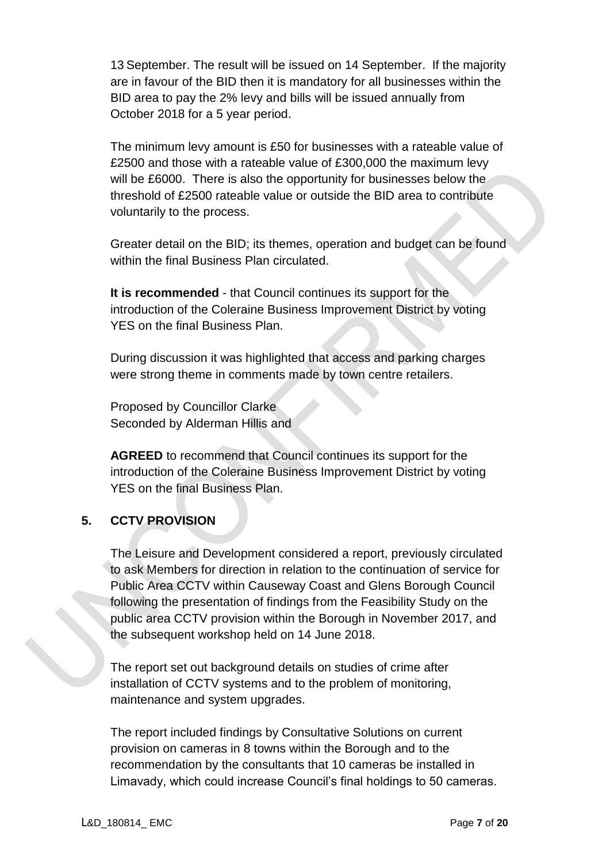13 September. The result will be issued on 14 September. If the majority are in favour of the BID then it is mandatory for all businesses within the BID area to pay the 2% levy and bills will be issued annually from October 2018 for a 5 year period.

The minimum levy amount is £50 for businesses with a rateable value of £2500 and those with a rateable value of £300,000 the maximum levy will be £6000. There is also the opportunity for businesses below the threshold of £2500 rateable value or outside the BID area to contribute voluntarily to the process.

Greater detail on the BID; its themes, operation and budget can be found within the final Business Plan circulated.

**It is recommended** - that Council continues its support for the introduction of the Coleraine Business Improvement District by voting YES on the final Business Plan.

During discussion it was highlighted that access and parking charges were strong theme in comments made by town centre retailers.

Proposed by Councillor Clarke Seconded by Alderman Hillis and

**AGREED** to recommend that Council continues its support for the introduction of the Coleraine Business Improvement District by voting YES on the final Business Plan.

## **5. CCTV PROVISION**

The Leisure and Development considered a report, previously circulated to ask Members for direction in relation to the continuation of service for Public Area CCTV within Causeway Coast and Glens Borough Council following the presentation of findings from the Feasibility Study on the public area CCTV provision within the Borough in November 2017, and the subsequent workshop held on 14 June 2018.

The report set out background details on studies of crime after installation of CCTV systems and to the problem of monitoring, maintenance and system upgrades.

The report included findings by Consultative Solutions on current provision on cameras in 8 towns within the Borough and to the recommendation by the consultants that 10 cameras be installed in Limavady, which could increase Council's final holdings to 50 cameras.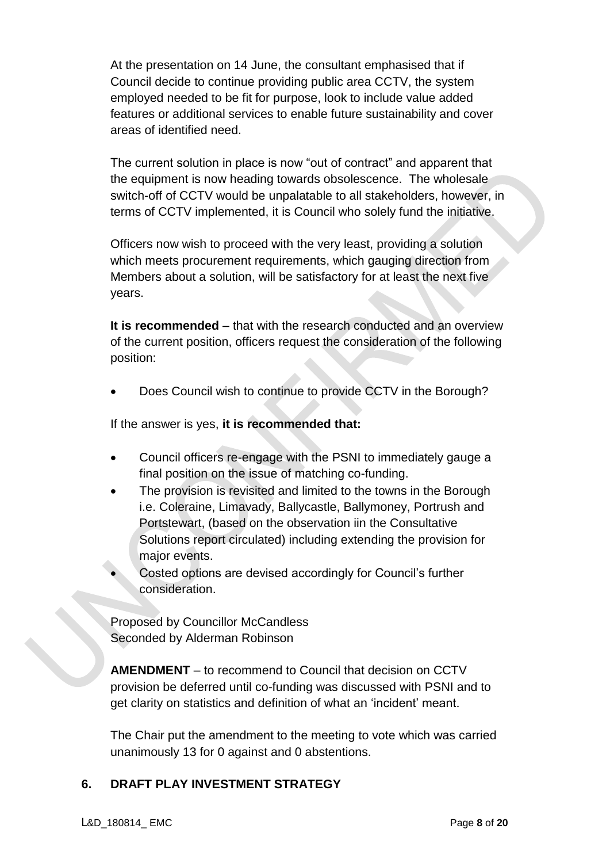At the presentation on 14 June, the consultant emphasised that if Council decide to continue providing public area CCTV, the system employed needed to be fit for purpose, look to include value added features or additional services to enable future sustainability and cover areas of identified need.

The current solution in place is now "out of contract" and apparent that the equipment is now heading towards obsolescence. The wholesale switch-off of CCTV would be unpalatable to all stakeholders, however, in terms of CCTV implemented, it is Council who solely fund the initiative.

Officers now wish to proceed with the very least, providing a solution which meets procurement requirements, which gauging direction from Members about a solution, will be satisfactory for at least the next five years.

**It is recommended** – that with the research conducted and an overview of the current position, officers request the consideration of the following position:

Does Council wish to continue to provide CCTV in the Borough?

If the answer is yes, **it is recommended that:** 

- Council officers re-engage with the PSNI to immediately gauge a final position on the issue of matching co-funding.
- The provision is revisited and limited to the towns in the Borough i.e. Coleraine, Limavady, Ballycastle, Ballymoney, Portrush and Portstewart, (based on the observation iin the Consultative Solutions report circulated) including extending the provision for major events.

 Costed options are devised accordingly for Council's further consideration.

Proposed by Councillor McCandless Seconded by Alderman Robinson

**AMENDMENT** – to recommend to Council that decision on CCTV provision be deferred until co-funding was discussed with PSNI and to get clarity on statistics and definition of what an 'incident' meant.

The Chair put the amendment to the meeting to vote which was carried unanimously 13 for 0 against and 0 abstentions.

# **6. DRAFT PLAY INVESTMENT STRATEGY**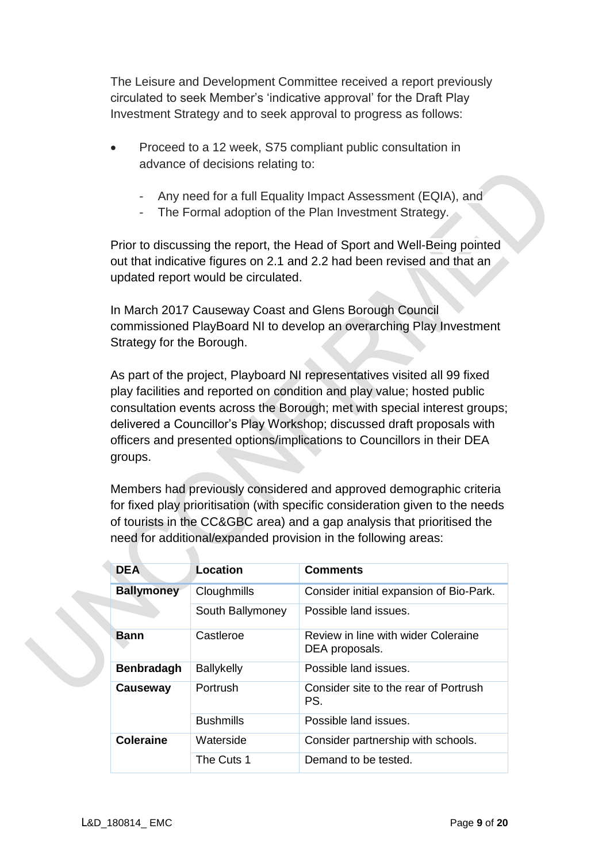The Leisure and Development Committee received a report previously circulated to seek Member's 'indicative approval' for the Draft Play Investment Strategy and to seek approval to progress as follows:

- Proceed to a 12 week, S75 compliant public consultation in advance of decisions relating to:
	- Any need for a full Equality Impact Assessment (EQIA), and
	- The Formal adoption of the Plan Investment Strategy.

Prior to discussing the report, the Head of Sport and Well-Being pointed out that indicative figures on 2.1 and 2.2 had been revised and that an updated report would be circulated.

In March 2017 Causeway Coast and Glens Borough Council commissioned PlayBoard NI to develop an overarching Play Investment Strategy for the Borough.

As part of the project, Playboard NI representatives visited all 99 fixed play facilities and reported on condition and play value; hosted public consultation events across the Borough; met with special interest groups; delivered a Councillor's Play Workshop; discussed draft proposals with officers and presented options/implications to Councillors in their DEA groups.

Members had previously considered and approved demographic criteria for fixed play prioritisation (with specific consideration given to the needs of tourists in the CC&GBC area) and a gap analysis that prioritised the need for additional/expanded provision in the following areas:

| <b>DEA</b>        | Location          | <b>Comments</b>                                       |
|-------------------|-------------------|-------------------------------------------------------|
| <b>Ballymoney</b> | Cloughmills       | Consider initial expansion of Bio-Park.               |
|                   | South Ballymoney  | Possible land issues.                                 |
| <b>Bann</b>       | Castleroe         | Review in line with wider Coleraine<br>DEA proposals. |
| <b>Benbradagh</b> | <b>Ballykelly</b> | Possible land issues.                                 |
| Causeway          | Portrush          | Consider site to the rear of Portrush<br>PS.          |
|                   | <b>Bushmills</b>  | Possible land issues.                                 |
| <b>Coleraine</b>  | Waterside         | Consider partnership with schools.                    |
|                   | The Cuts 1        | Demand to be tested.                                  |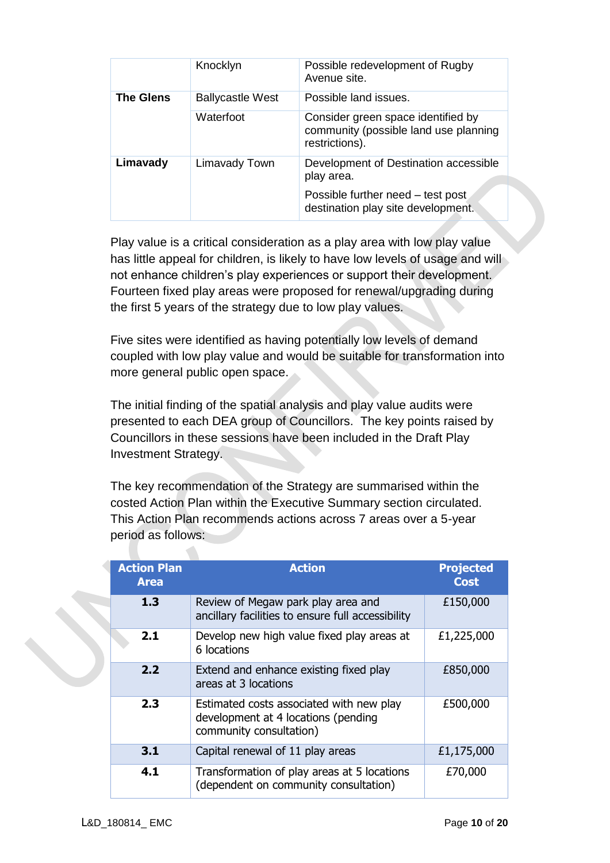|                  | Knocklyn                | Possible redevelopment of Rugby<br>Avenue site.                                               |
|------------------|-------------------------|-----------------------------------------------------------------------------------------------|
| <b>The Glens</b> | <b>Ballycastle West</b> | Possible land issues.                                                                         |
|                  | Waterfoot               | Consider green space identified by<br>community (possible land use planning<br>restrictions). |
| Limavady         | Limavady Town           | Development of Destination accessible<br>play area.                                           |
|                  |                         | Possible further need - test post<br>destination play site development.                       |

Play value is a critical consideration as a play area with low play value has little appeal for children, is likely to have low levels of usage and will not enhance children's play experiences or support their development. Fourteen fixed play areas were proposed for renewal/upgrading during the first 5 years of the strategy due to low play values.

Five sites were identified as having potentially low levels of demand coupled with low play value and would be suitable for transformation into more general public open space.

The initial finding of the spatial analysis and play value audits were presented to each DEA group of Councillors. The key points raised by Councillors in these sessions have been included in the Draft Play Investment Strategy.

The key recommendation of the Strategy are summarised within the costed Action Plan within the Executive Summary section circulated. This Action Plan recommends actions across 7 areas over a 5-year period as follows:

| <b>Action Plan</b><br><b>Area</b> | <b>Action</b>                                                                                              | <b>Projected</b><br><b>Cost</b> |
|-----------------------------------|------------------------------------------------------------------------------------------------------------|---------------------------------|
| 1.3                               | Review of Megaw park play area and<br>ancillary facilities to ensure full accessibility                    | £150,000                        |
| 2.1                               | Develop new high value fixed play areas at<br>6 locations                                                  | £1,225,000                      |
| 2.2                               | Extend and enhance existing fixed play<br>areas at 3 locations                                             | £850,000                        |
| 2.3                               | Estimated costs associated with new play<br>development at 4 locations (pending<br>community consultation) | £500,000                        |
| 3.1                               | Capital renewal of 11 play areas                                                                           | £1,175,000                      |
| 4.1                               | Transformation of play areas at 5 locations<br>(dependent on community consultation)                       | £70,000                         |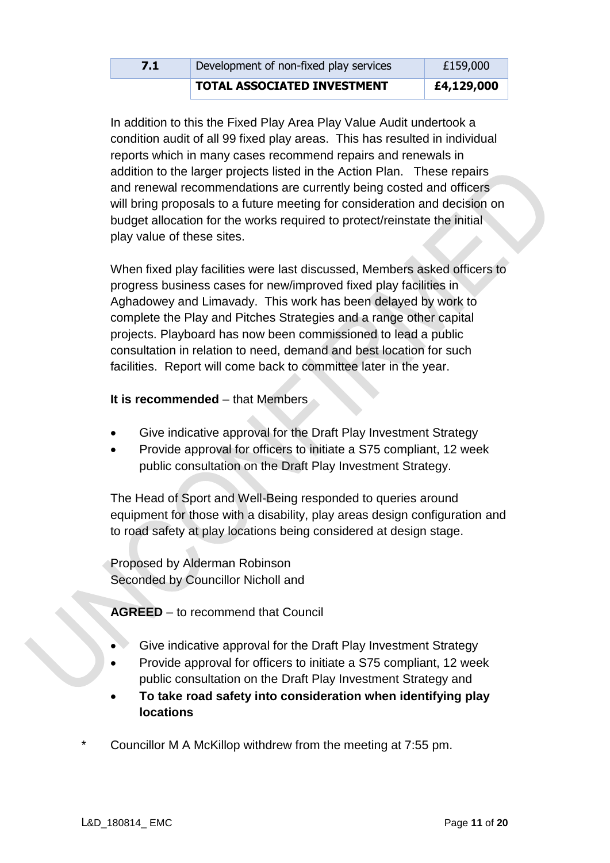|     | <b>TOTAL ASSOCIATED INVESTMENT</b>     | £4,129,000 |
|-----|----------------------------------------|------------|
| 7.1 | Development of non-fixed play services | £159,000   |

In addition to this the Fixed Play Area Play Value Audit undertook a condition audit of all 99 fixed play areas. This has resulted in individual reports which in many cases recommend repairs and renewals in addition to the larger projects listed in the Action Plan. These repairs and renewal recommendations are currently being costed and officers will bring proposals to a future meeting for consideration and decision on budget allocation for the works required to protect/reinstate the initial play value of these sites.

When fixed play facilities were last discussed, Members asked officers to progress business cases for new/improved fixed play facilities in Aghadowey and Limavady. This work has been delayed by work to complete the Play and Pitches Strategies and a range other capital projects. Playboard has now been commissioned to lead a public consultation in relation to need, demand and best location for such facilities. Report will come back to committee later in the year.

#### **It is recommended** – that Members

- Give indicative approval for the Draft Play Investment Strategy
- Provide approval for officers to initiate a S75 compliant, 12 week public consultation on the Draft Play Investment Strategy.

The Head of Sport and Well-Being responded to queries around equipment for those with a disability, play areas design configuration and to road safety at play locations being considered at design stage.

Proposed by Alderman Robinson Seconded by Councillor Nicholl and

**AGREED** – to recommend that Council

- Give indicative approval for the Draft Play Investment Strategy
- Provide approval for officers to initiate a S75 compliant, 12 week public consultation on the Draft Play Investment Strategy and
- **To take road safety into consideration when identifying play locations**
- Councillor M A McKillop withdrew from the meeting at 7:55 pm.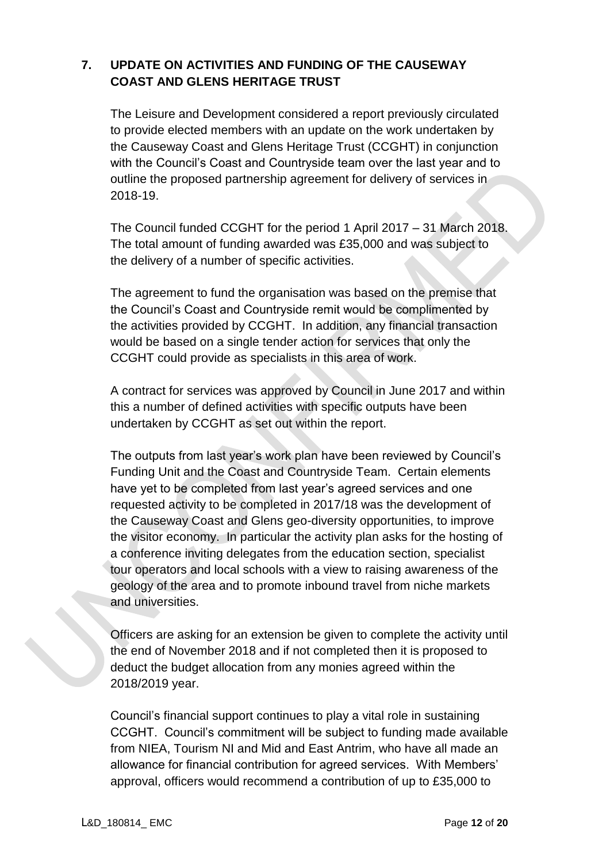# **7. UPDATE ON ACTIVITIES AND FUNDING OF THE CAUSEWAY COAST AND GLENS HERITAGE TRUST**

The Leisure and Development considered a report previously circulated to provide elected members with an update on the work undertaken by the Causeway Coast and Glens Heritage Trust (CCGHT) in conjunction with the Council's Coast and Countryside team over the last year and to outline the proposed partnership agreement for delivery of services in 2018-19.

The Council funded CCGHT for the period 1 April 2017 – 31 March 2018. The total amount of funding awarded was £35,000 and was subject to the delivery of a number of specific activities.

The agreement to fund the organisation was based on the premise that the Council's Coast and Countryside remit would be complimented by the activities provided by CCGHT. In addition, any financial transaction would be based on a single tender action for services that only the CCGHT could provide as specialists in this area of work.

A contract for services was approved by Council in June 2017 and within this a number of defined activities with specific outputs have been undertaken by CCGHT as set out within the report.

The outputs from last year's work plan have been reviewed by Council's Funding Unit and the Coast and Countryside Team. Certain elements have yet to be completed from last year's agreed services and one requested activity to be completed in 2017/18 was the development of the Causeway Coast and Glens geo-diversity opportunities, to improve the visitor economy. In particular the activity plan asks for the hosting of a conference inviting delegates from the education section, specialist tour operators and local schools with a view to raising awareness of the geology of the area and to promote inbound travel from niche markets and universities.

Officers are asking for an extension be given to complete the activity until the end of November 2018 and if not completed then it is proposed to deduct the budget allocation from any monies agreed within the 2018/2019 year.

Council's financial support continues to play a vital role in sustaining CCGHT. Council's commitment will be subject to funding made available from NIEA, Tourism NI and Mid and East Antrim, who have all made an allowance for financial contribution for agreed services. With Members' approval, officers would recommend a contribution of up to £35,000 to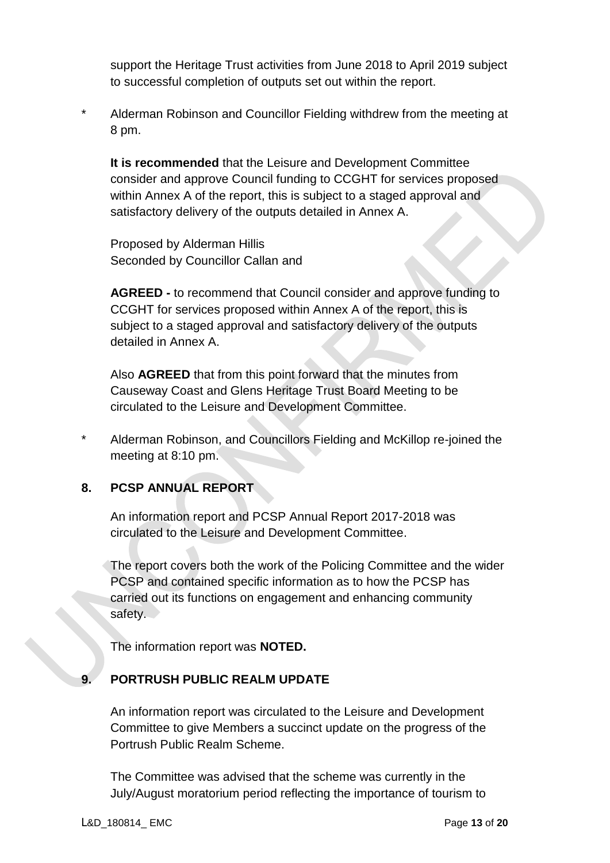support the Heritage Trust activities from June 2018 to April 2019 subject to successful completion of outputs set out within the report.

\* Alderman Robinson and Councillor Fielding withdrew from the meeting at 8 pm.

**It is recommended** that the Leisure and Development Committee consider and approve Council funding to CCGHT for services proposed within Annex A of the report, this is subject to a staged approval and satisfactory delivery of the outputs detailed in Annex A.

Proposed by Alderman Hillis Seconded by Councillor Callan and

**AGREED -** to recommend that Council consider and approve funding to CCGHT for services proposed within Annex A of the report, this is subject to a staged approval and satisfactory delivery of the outputs detailed in Annex A.

Also **AGREED** that from this point forward that the minutes from Causeway Coast and Glens Heritage Trust Board Meeting to be circulated to the Leisure and Development Committee.

\* Alderman Robinson, and Councillors Fielding and McKillop re-joined the meeting at 8:10 pm.

## **8. PCSP ANNUAL REPORT**

An information report and PCSP Annual Report 2017-2018 was circulated to the Leisure and Development Committee.

The report covers both the work of the Policing Committee and the wider PCSP and contained specific information as to how the PCSP has carried out its functions on engagement and enhancing community safety.

The information report was **NOTED.** 

## **9. PORTRUSH PUBLIC REALM UPDATE**

An information report was circulated to the Leisure and Development Committee to give Members a succinct update on the progress of the Portrush Public Realm Scheme.

The Committee was advised that the scheme was currently in the July/August moratorium period reflecting the importance of tourism to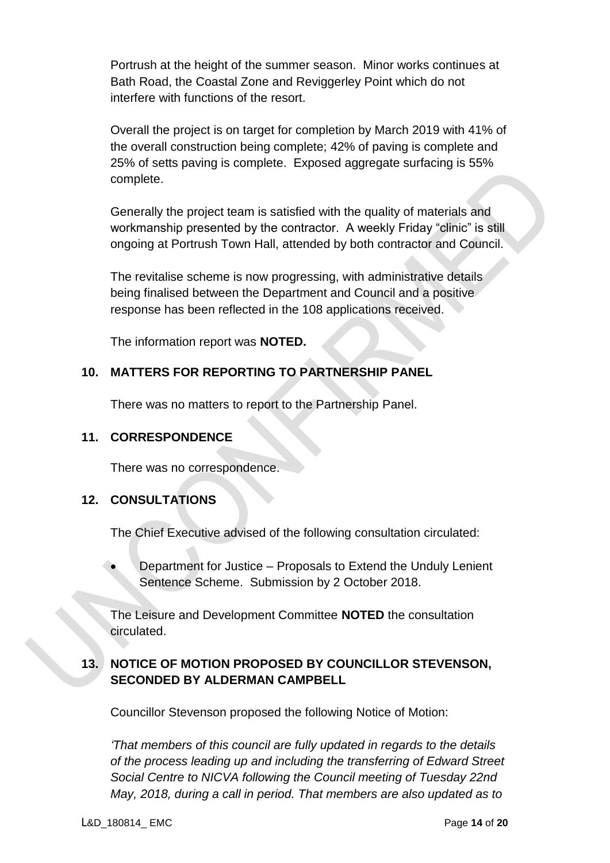Portrush at the height of the summer season. Minor works continues at Bath Road, the Coastal Zone and Reviggerley Point which do not interfere with functions of the resort.

Overall the project is on target for completion by March 2019 with 41% of the overall construction being complete; 42% of paving is complete and 25% of setts paving is complete. Exposed aggregate surfacing is 55% complete.

Generally the project team is satisfied with the quality of materials and workmanship presented by the contractor. A weekly Friday "clinic" is still ongoing at Portrush Town Hall, attended by both contractor and Council.

The revitalise scheme is now progressing, with administrative details being finalised between the Department and Council and a positive response has been reflected in the 108 applications received.

The information report was **NOTED.** 

## **10. MATTERS FOR REPORTING TO PARTNERSHIP PANEL**

There was no matters to report to the Partnership Panel.

### **11. CORRESPONDENCE**

There was no correspondence.

## **12. CONSULTATIONS**

The Chief Executive advised of the following consultation circulated:

 Department for Justice – Proposals to Extend the Unduly Lenient Sentence Scheme. Submission by 2 October 2018.

The Leisure and Development Committee **NOTED** the consultation circulated.

# **13. NOTICE OF MOTION PROPOSED BY COUNCILLOR STEVENSON, SECONDED BY ALDERMAN CAMPBELL**

Councillor Stevenson proposed the following Notice of Motion:

*'That members of this council are fully updated in regards to the details of the process leading up and including the transferring of Edward Street Social Centre to NICVA following the Council meeting of Tuesday 22nd May, 2018, during a call in period. That members are also updated as to*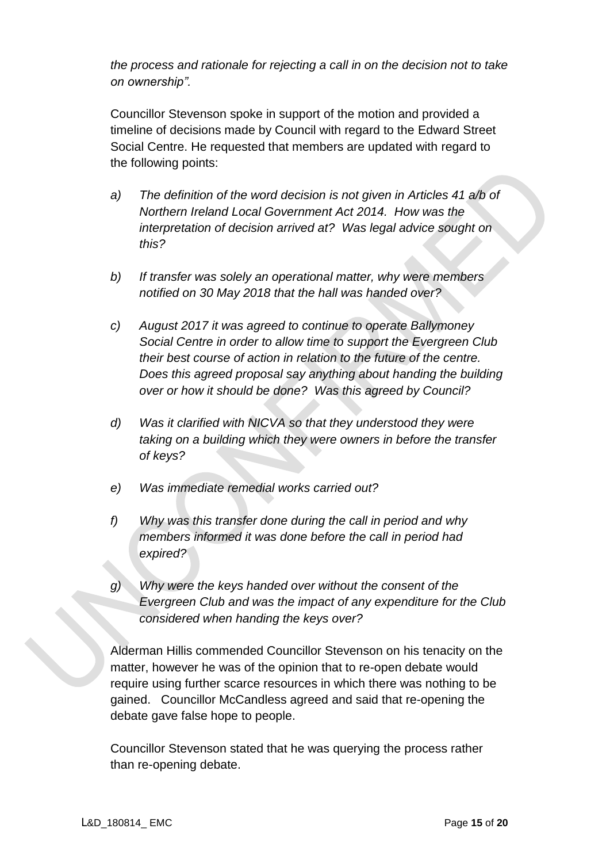*the process and rationale for rejecting a call in on the decision not to take on ownership".*

Councillor Stevenson spoke in support of the motion and provided a timeline of decisions made by Council with regard to the Edward Street Social Centre. He requested that members are updated with regard to the following points:

- *a) The definition of the word decision is not given in Articles 41 a/b of Northern Ireland Local Government Act 2014. How was the interpretation of decision arrived at? Was legal advice sought on this?*
- *b) If transfer was solely an operational matter, why were members notified on 30 May 2018 that the hall was handed over?*
- *c) August 2017 it was agreed to continue to operate Ballymoney Social Centre in order to allow time to support the Evergreen Club their best course of action in relation to the future of the centre. Does this agreed proposal say anything about handing the building over or how it should be done? Was this agreed by Council?*
- *d) Was it clarified with NICVA so that they understood they were taking on a building which they were owners in before the transfer of keys?*
- *e) Was immediate remedial works carried out?*
- *f) Why was this transfer done during the call in period and why members informed it was done before the call in period had expired?*
- *g) Why were the keys handed over without the consent of the Evergreen Club and was the impact of any expenditure for the Club considered when handing the keys over?*

Alderman Hillis commended Councillor Stevenson on his tenacity on the matter, however he was of the opinion that to re-open debate would require using further scarce resources in which there was nothing to be gained. Councillor McCandless agreed and said that re-opening the debate gave false hope to people.

Councillor Stevenson stated that he was querying the process rather than re-opening debate.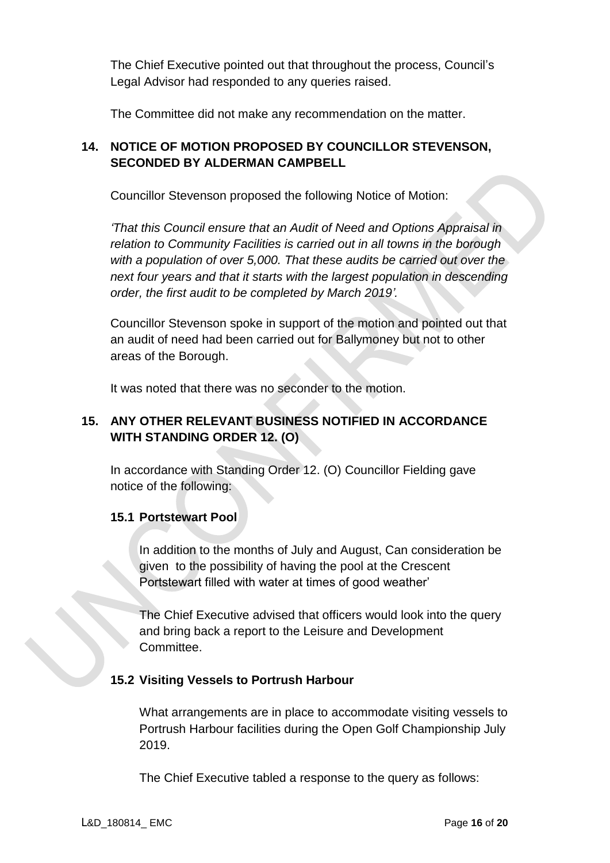The Chief Executive pointed out that throughout the process, Council's Legal Advisor had responded to any queries raised.

The Committee did not make any recommendation on the matter.

# **14. NOTICE OF MOTION PROPOSED BY COUNCILLOR STEVENSON, SECONDED BY ALDERMAN CAMPBELL**

Councillor Stevenson proposed the following Notice of Motion:

*'That this Council ensure that an Audit of Need and Options Appraisal in relation to Community Facilities is carried out in all towns in the borough with a population of over 5,000. That these audits be carried out over the next four years and that it starts with the largest population in descending order, the first audit to be completed by March 2019'.*

Councillor Stevenson spoke in support of the motion and pointed out that an audit of need had been carried out for Ballymoney but not to other areas of the Borough.

It was noted that there was no seconder to the motion.

## **15. ANY OTHER RELEVANT BUSINESS NOTIFIED IN ACCORDANCE WITH STANDING ORDER 12. (O)**

In accordance with Standing Order 12. (O) Councillor Fielding gave notice of the following:

## **15.1 Portstewart Pool**

In addition to the months of July and August, Can consideration be given to the possibility of having the pool at the Crescent Portstewart filled with water at times of good weather'

The Chief Executive advised that officers would look into the query and bring back a report to the Leisure and Development Committee.

## **15.2 Visiting Vessels to Portrush Harbour**

What arrangements are in place to accommodate visiting vessels to Portrush Harbour facilities during the Open Golf Championship July 2019.

The Chief Executive tabled a response to the query as follows: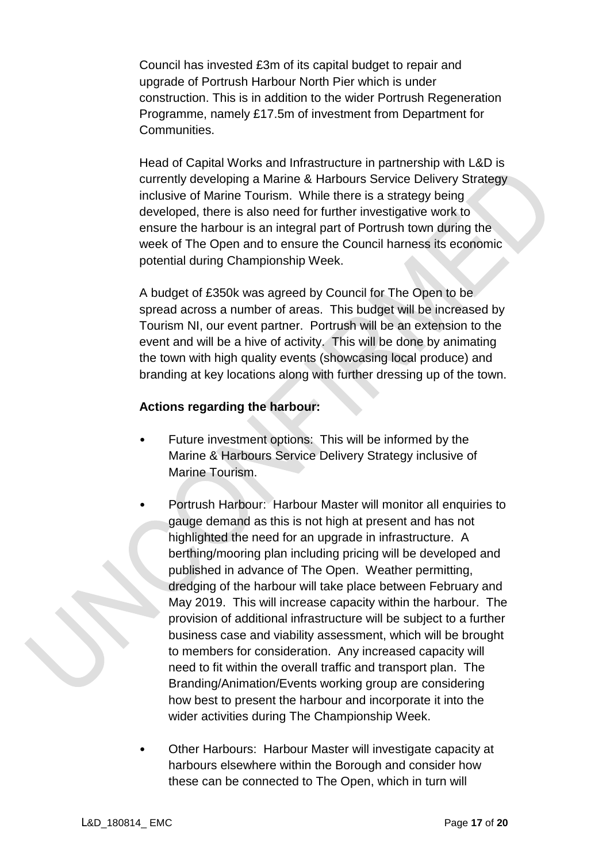Council has invested £3m of its capital budget to repair and upgrade of Portrush Harbour North Pier which is under construction. This is in addition to the wider Portrush Regeneration Programme, namely £17.5m of investment from Department for Communities.

Head of Capital Works and Infrastructure in partnership with L&D is currently developing a Marine & Harbours Service Delivery Strategy inclusive of Marine Tourism. While there is a strategy being developed, there is also need for further investigative work to ensure the harbour is an integral part of Portrush town during the week of The Open and to ensure the Council harness its economic potential during Championship Week.

A budget of £350k was agreed by Council for The Open to be spread across a number of areas. This budget will be increased by Tourism NI, our event partner. Portrush will be an extension to the event and will be a hive of activity. This will be done by animating the town with high quality events (showcasing local produce) and branding at key locations along with further dressing up of the town.

### **Actions regarding the harbour:**

- Future investment options: This will be informed by the Marine & Harbours Service Delivery Strategy inclusive of Marine Tourism.
	- Portrush Harbour: Harbour Master will monitor all enquiries to gauge demand as this is not high at present and has not highlighted the need for an upgrade in infrastructure. A berthing/mooring plan including pricing will be developed and published in advance of The Open. Weather permitting, dredging of the harbour will take place between February and May 2019. This will increase capacity within the harbour. The provision of additional infrastructure will be subject to a further business case and viability assessment, which will be brought to members for consideration. Any increased capacity will need to fit within the overall traffic and transport plan. The Branding/Animation/Events working group are considering how best to present the harbour and incorporate it into the wider activities during The Championship Week.
- Other Harbours: Harbour Master will investigate capacity at harbours elsewhere within the Borough and consider how these can be connected to The Open, which in turn will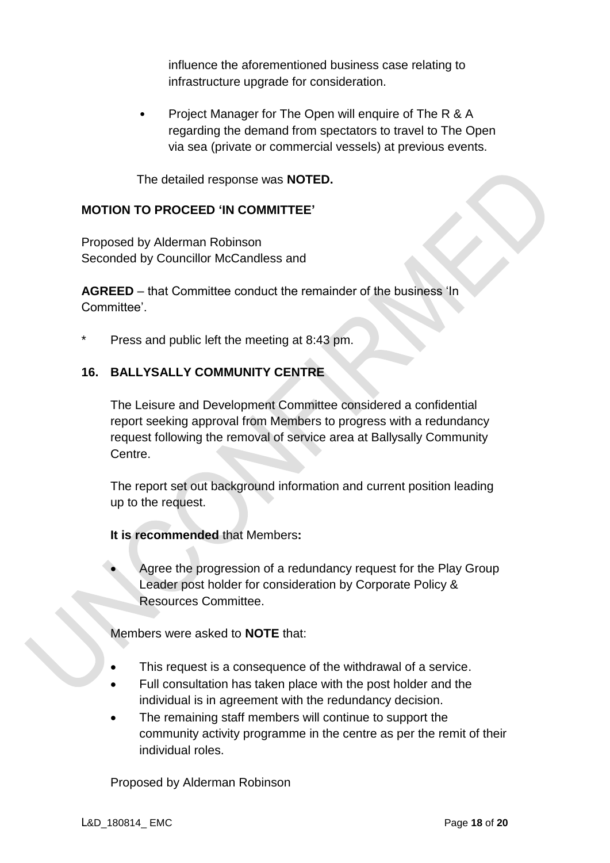influence the aforementioned business case relating to infrastructure upgrade for consideration.

• Project Manager for The Open will enquire of The R & A regarding the demand from spectators to travel to The Open via sea (private or commercial vessels) at previous events.

The detailed response was **NOTED.** 

### **MOTION TO PROCEED 'IN COMMITTEE'**

Proposed by Alderman Robinson Seconded by Councillor McCandless and

**AGREED** – that Committee conduct the remainder of the business 'In Committee'.

Press and public left the meeting at 8:43 pm.

## **16. BALLYSALLY COMMUNITY CENTRE**

The Leisure and Development Committee considered a confidential report seeking approval from Members to progress with a redundancy request following the removal of service area at Ballysally Community Centre.

The report set out background information and current position leading up to the request.

**It is recommended** that Members**:**

 Agree the progression of a redundancy request for the Play Group Leader post holder for consideration by Corporate Policy & Resources Committee.

Members were asked to **NOTE** that:

- This request is a consequence of the withdrawal of a service.
- Full consultation has taken place with the post holder and the individual is in agreement with the redundancy decision.
- The remaining staff members will continue to support the community activity programme in the centre as per the remit of their individual roles.

Proposed by Alderman Robinson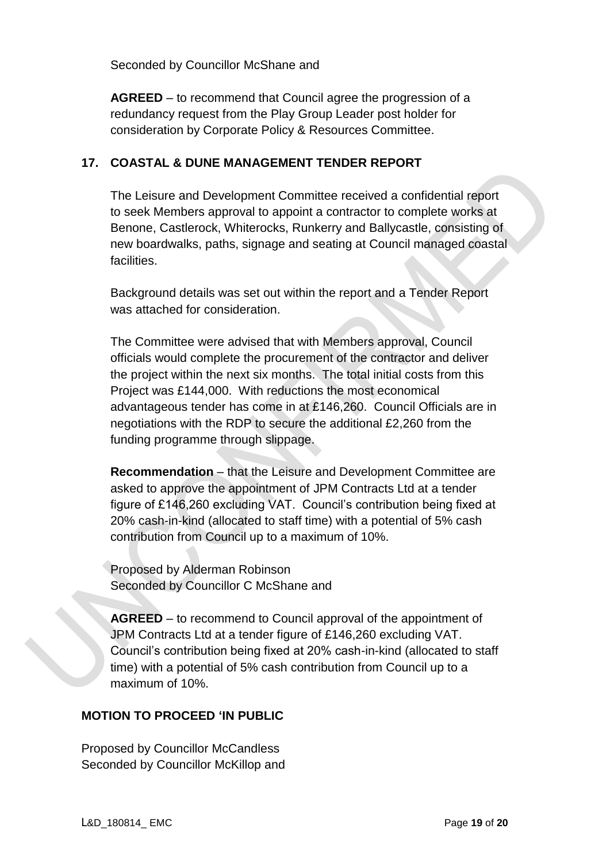Seconded by Councillor McShane and

**AGREED** – to recommend that Council agree the progression of a redundancy request from the Play Group Leader post holder for consideration by Corporate Policy & Resources Committee.

#### **17. COASTAL & DUNE MANAGEMENT TENDER REPORT**

The Leisure and Development Committee received a confidential report to seek Members approval to appoint a contractor to complete works at Benone, Castlerock, Whiterocks, Runkerry and Ballycastle, consisting of new boardwalks, paths, signage and seating at Council managed coastal facilities.

Background details was set out within the report and a Tender Report was attached for consideration.

The Committee were advised that with Members approval, Council officials would complete the procurement of the contractor and deliver the project within the next six months. The total initial costs from this Project was £144,000. With reductions the most economical advantageous tender has come in at £146,260. Council Officials are in negotiations with the RDP to secure the additional £2,260 from the funding programme through slippage.

**Recommendation** – that the Leisure and Development Committee are asked to approve the appointment of JPM Contracts Ltd at a tender figure of £146,260 excluding VAT. Council's contribution being fixed at 20% cash-in-kind (allocated to staff time) with a potential of 5% cash contribution from Council up to a maximum of 10%.

Proposed by Alderman Robinson Seconded by Councillor C McShane and

**AGREED** – to recommend to Council approval of the appointment of JPM Contracts Ltd at a tender figure of £146,260 excluding VAT. Council's contribution being fixed at 20% cash-in-kind (allocated to staff time) with a potential of 5% cash contribution from Council up to a maximum of 10%.

## **MOTION TO PROCEED 'IN PUBLIC**

Proposed by Councillor McCandless Seconded by Councillor McKillop and